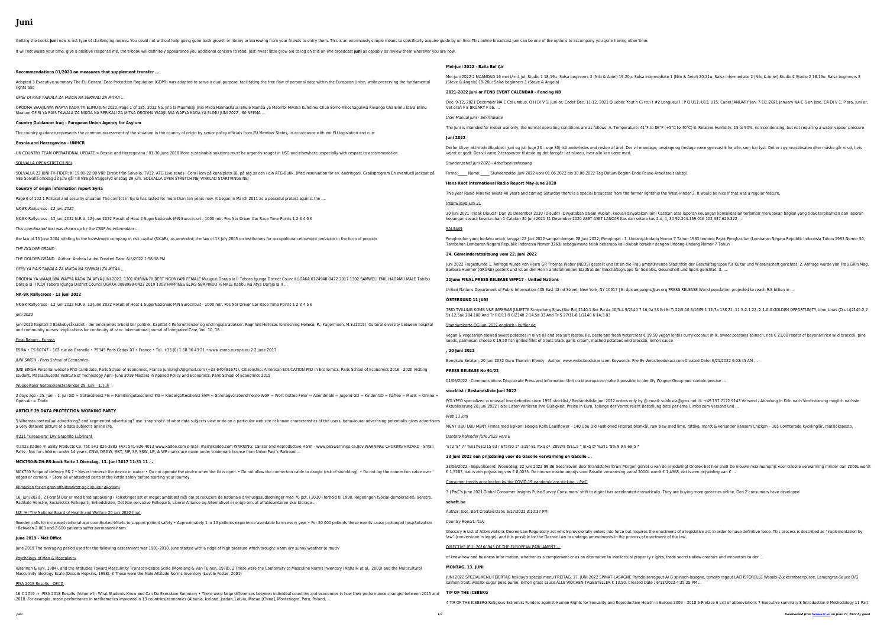# **Juni**

Getting the books juni now is not type of challenging means. You could not without help going gone book growth or library or borrowing from your friends to entry them. This is an enormously simple means to specifically acq

It will not waste your time. give a positive response me, the e-book will definitely appearance you additional concern to read. Just invest little grow old to log on this on-line broadcast juni as capably as review them wh

Adopted 3 Executive summary The EU General Data Protection Regulation (GDPR) was adopted to serve a dual-purpose: facilitating the free flow of personal data within the rights and

ORODHA WAAJILIWA WAPYA KADA YA ELIMU JUNI 2022, Page 1 of 125. 2022 Na. Jina la Muombaji Jinsi Mkoa Halmashauri Shule Namba ya Maombi Mwaka Kuhitimu Chuo Son Maalum OFISI YA RAIS TAWALA ZA MIKOA NA SERIKALI ZA MITAA ORODHA WAAJILIWA WAPYA KADA YA ELIMU JUNI 2022 , 80 NEEMA …

## **Recommendations 01/2020 on measures that supplement transfer …**

UN COUNTRY TEAM OPERATIONAL UPDATE > Bosnia and Herzegovina / 01-30 June 2018 More sustainable solutions must be urgently sought in USC and elsewhere, especially SOLVALLA OPEN STRETCH NEJ

OFISI YA RAIS TAWALA ZA MIKOA NA SERIKALI ZA MITAA …

SOLVALLA 22 JUNI TV-TIDER: Kl 19.00-22.00 V86 Direkt från Solvalla, TV12. ATG Live sänds i Com Hem på kanalplats 18, på atg.se och i din ATG-Butik. (Med reservation för  $\epsilon$ V86 Solvalla onsdag 22 juni går till V86 på Vaggeryd onsdag 29 juni. SOLVALLA OPEN STRETCH NEJ VINKLAD STARTVINGE NEJ

## **Country Guidance: Iraq - European Union Agency for Asylum**

The country guidance represents the common assessment of the situation in the country of origin by senior policy officials from EU Member States, in accordance with ent EU

## **Bosnia and Herzegovina - UNHCR**

ORODHA YA WAAJILIWA WAPYA KADA ZA AFYA JUNI 2022, 1301 KURWA FILBERT NGONYANI FEMALE Muuguzi Daraja la II Tabora Igunga District Council UGAKA 0124948-0422 Daraja la II (CO) Tabora Igunga District Council UGAKA 0088989-0422 2019 1303 HAPPINES ELIAS SEMPINDU FEMALE Katibu wa Afya Daraja la II …

### **Country of origin information report Syria**

Page 6 of 102 1 Political and security situation The conflict in Syria has lasted for more than ten years now. It began in March 2011 as a peaceful protest against the ...

JUNI SINGH Personal website PhD candidate, Paris School of Economics, France junisingh7@gmail.com (+33 640481671), Citizenship: American EDUCATION PhD in Economic student, Massachusetts Institute of Technology April- June 2019 Masters in Applied Policy and Economics, Paris School of Economics 2015

2 days ago · 25. Juni - 1. Juli GD = Gottesdienst FG = Familiengottesdienst KG = Kindergottesdienst SVM = Sonntagvorabendmesse WGF = Wort-Gottes-Feier = Abendmahl Open-Air = Taufe

#### NK-BK Rallycross - 12 juni 2022

NK-BK Rallycross - 12 juni 2022 N.R.V. 12 June 2022 Result of Heat 2 SuperNationals MIN Eurocircuit - 1000 mtr. Pos Nbr Driver Car Race Time Points 1 2 3 4 5 6

5 Whereas contextual advertising2 and segmented advertising3 use 'snap shots' of what data subjects view or do on a particular web site or known characteristics of the use a very detailed picture of a data subject's online life,

This coordinated text was drawn up by the CSSF for information …

the law of 15 June 2004 relating to the Investment company in risk capital (SICAR), as amended; the law of 13 July 2005 on institutions for occupational retirement provision i

©2022 Kadee ® uality Products Co. Tel: 541-826-3883 FAX: 541-826-4013 www.kadee.com e-mail: mail@kadee.com WARNING: Cancer and Reproductive Harm - www.p65w Parts - Not for children under 14 years. CNW, DRGW, MKT, MP, SP, SSW, UP, & WP marks are made under trademark license from Union Paci˜c Railroad …

#### THE DOLDER GRAND

THE DOLDER GRAND . Author: Andrea.Laube Created Date: 6/5/2022 1:58:38 PM

MCK750 Scope of delivery EN 7 • Never immerse the device in water. • Do not operate the device when the lid is open. • Do not allow the connection cable to dangle (risk of edges or corners. • Store all unattached parts of the kettle safely before starting your journey.

OFISI YA RAIS TAWALA ZA MIKOA NA SERIKALI ZA MITAA …

16. juni 2020 . 2 Formål Der er med bred opbakning i Folketinget sat et meget ambitiøst mål om at reducere de nationale drivhusgasudledninger med 70 pct. i 2030 i forhold Radikale Venstre, Socialistisk Folkeparti, Enhedslisten, Det Kon-servative Folkeparti, Liberal Alliance og Alternativet er enige om, at affaldssektoren skal bidrage …

Sweden calls for increased national and coordinated efforts to support patient safety • Approximately 1 in 10 patients experience avoidable harm every year • For 50 000 pa •Between 2 000 and 2 600 patients suffer permanent harm

#### **NK-BK Rallycross - 12 juni 2022**

NK-BK Rallycross - 12 juni 2022 N.R.V. 12 June 2022 Result of Heat 1 SuperNationals MIN Eurocircuit - 1000 mtr. Pos Nbr Driver Car Race Time Points 1 2 3 4 5 6

#### juni 2022

juni 2022 Kapittel 2 Bakkebyråkratiet - der emosjonelt arbeid blir politikk. Kapittel 4 Reformtrender og endringsparadokser. Ragnhild Hellesøs forelesning Hellesø, R.; Fagerm and community nurses: implications for continuity of care. International Journal of Integrated Care, Vol. 10, 18 ...

(Brannon & Juni, 1984), and the Attitudes Toward Masculinity Transcen-dence Scale (Moreland & Van Tuinen, 1978). 2 These were the Conformity to Masculine Norms Invento Masculinity Ideology Scale (Doss & Hopkins, 1998). 3 These were the Male Attitude Norms Inventory (Luyt & Foster, 2001)

16 C 2019 -» -PISA 2018 Results (Volume I): What Students Know and Can Do Executive Summary • There were large differences between individual countries and economie 2018. For example, mean performance in mathematics improved in 13 countries/economies (Albania, Iceland, Jordan, Latvia, Macao [China], Montenegro, Peru, Poland, …

#### Final Report - Europa

ESMA • CS 60747 – 103 rue de Grenelle • 75345 Paris Cedex 07 • France • Tel. +33 (0) 1 58 36 43 21 • www.esma.europa.eu 2 2 June 2017

#### JUNI SINGH - Paris School of Economics

Wuppertaler Gottesdienstkalender 25. Juni – 1. Juli

#### **ARTICLE 29 DATA PROTECTION WORKING PARTY**

#### #231 "Greas-em" Dry Graphite Lubricant

#### **MCK750-B-ZH-EN.book Seite 1 Dienstag, 13. Juni 2017 11:31 11 …**

#### Klimaplan for en grøn affaldssektor og cirkulær økonomi

M2: IHI The National Board of Health and Welfare 20 juni 2022 final

#### **June 2019 - Met Office**

June 2019 The averaging period used for the following assessment was 1981-2010. June started with a ridge of high pressure which brought warm dry sunny weather to much

# Psychology of Men & Masculinity

# PISA 2018 Results - OECD

|                                                            | Mei-juni 2022 - Baila Bel Air                                                                                                                                                                                                                                              |
|------------------------------------------------------------|----------------------------------------------------------------------------------------------------------------------------------------------------------------------------------------------------------------------------------------------------------------------------|
| European Union, while preserving the fundamental           | Mei-juni 2022 2 MAANDAG 16 mei t/m 4 juli Studio 1 18-19u: Salsa beginners 3 (Nilo & Aniel) 19-20u: Salsa intermediate 1 (Nilo &<br>(Steve & Angela) 19-20u: Salsa beginners 1 (Steve & Angela)                                                                            |
|                                                            | 2021-2022 Juni or FENB EVENT CALENDAR - Fencing NB                                                                                                                                                                                                                         |
| mo Alilochaguliwa Kiwango Cha Elimu Idara Elimu            | Dec. 9-12, 2021 December NA C Col umbus, O H DI V 1, Juni or, Cadet Dec. 11-12, 2021 Q uebec Yout h Ci rcui t #2 Longueui I, P<br>Vet eran F E BRUARY F eb.                                                                                                                |
|                                                            | User Manual Juni - Smirthwaite                                                                                                                                                                                                                                             |
| U legislation and curr                                     | The Juni is intended for indoor use only, the normal operating conditions are as follows: A. Temperature: 41°F to 86°F (+5°C to 40°                                                                                                                                        |
|                                                            | <b>Juni 2022</b>                                                                                                                                                                                                                                                           |
| ly with respect to accommodation.                          | Derfor bliver aktivitetstilbuddet i juni og juli (uge 23 - uge 30) lidt anderledes end resten af året. Der vil mandage, onsdage og fred<br>vejret er godt. Der vil være 2 terapeuter tilstede og det foregår i et niveau, hvor alle kan være med.                          |
| ev. ändringar). Gratisprogram En eventuell Jackpot på      | Stundenzettel Juni 2022 - Arbeitszeiterfassung                                                                                                                                                                                                                             |
|                                                            | Firma: Name: Stundenzettel Juni 2022 vom 01.06.2022 bis 30.06.2022 Tag Datum Beginn Ende Pause Arbeitszeit (abzgl.                                                                                                                                                         |
|                                                            | Hans Knot International Radio Report May-June 2020                                                                                                                                                                                                                         |
|                                                            | This year Radio Minerva exists 40 years and coming Saturday there is a special broadcast from the former lightship the West-Hind                                                                                                                                           |
|                                                            | Intanwijaya Juni 21                                                                                                                                                                                                                                                        |
|                                                            | 30 Juni 2021 (Tidak Diaudit) Dan 31 Desember 2020 (Diaudit) (Dinyatakan dalam Rupiah, kecuali dinyatakan lain) Catatan atas lap<br>keuangan secara keseluruhan 1 Catatan 30 Juni 2021 31 Desember 2020 ASET ASET LANCAR Kas dan setara kas 2.d, 4, 30 92.344               |
|                                                            | SALINAN                                                                                                                                                                                                                                                                    |
| in the form of pension                                     | Penghasilan yang berlaku untuk tanggal 22 Juni 2022 sampai dengan 28 Juni 2022; Mengingat: 1. Undang-Undang Nomor 7 Tahur<br>Tambahan Lembaran Negara Republik Indonesia Nomor 3263) sebagaimana telah beberapa kali diubah terakhir dengan Undang-L                       |
|                                                            | 24. Gemeinderatssitzung vom 22. Juni 2022                                                                                                                                                                                                                                  |
|                                                            | Juni 2022 Fragestunde 1. Anfrage wurde von Herrn GR Thomas Weber (NEOS) gestellt und ist an die Frau amtsführende Stadträtin<br>Barbara Huemer (GRÜNE) gestellt und ist an den Herrn amtsführenden Stadtrat der Geschäftsgruppe für Soziales, Gesundheit und               |
| 2 2017 1302 SAMWELI EMIL HAGAMU MALE Tabibu                | 21 June FINAL PRESS RELEASE WPP17 - United Nations                                                                                                                                                                                                                         |
|                                                            | United Nations Department of Public Information 405 East 42 nd Street, New York, NY 10017   E: dpicampaigns@un.org PRESS REI                                                                                                                                               |
|                                                            | ÖSTERSUND 11 JUNI                                                                                                                                                                                                                                                          |
|                                                            | TRIO TVILLING KOMB V&P IMPERIAS JULIETTE Strandberg Elias (Ber Ro) 2140:1 Ber Ro Ax 10/5-4 9/2140 7 16,0a 53 Eri Ki Ti 22/5-1<br>5s 12,5ak 284.100 And Tr F 8/11-9 6/2140 2 14,5a 33 And Tr S 27/11-8 1/2140 6 14,3 83                                                     |
| noen, M.S.(2015). Cultural diversity between hospital      | Standardkarte OG Juni 2022 englisch - kuffler.de                                                                                                                                                                                                                           |
|                                                            | vegan & vegetarian stewed sweet potatoes in olive oil and sea salt ratatouille, pesto and fresh watercress € 19,50 vegan lentils cu<br>seeds, parmesan cheese € 19,50 fish grilled fillet of trouts black garlic cream, mashed potatoes wild broccoli, lemon sauce         |
|                                                            | , 20 Juni 2022                                                                                                                                                                                                                                                             |
|                                                            | Bengkulu Selatan, 20 Juni 2022 Guru Thamrin Efendy . Author: www.websiteedukasi.com Keywords: File By Websiteedukasi.com C                                                                                                                                                 |
| cs, Paris School of Economics 2016 - 2020 Visiting         | <b>PRESS RELEASE No 91/22</b>                                                                                                                                                                                                                                              |
|                                                            | 01/06/2022 · Communications Directorate Press and Information Unit curia.europa.eu make it possible to identify Wagner Group a                                                                                                                                             |
| $=$ Jugend-GD = Kinder-GD = Kaffee = Musik = Online =      | stocklist / Bestandsliste Juni 2022                                                                                                                                                                                                                                        |
|                                                            | POLYPED specialized in unusual invertebrates since 1991 stocklist / Bestandsliste Juni 2022 orders only by @ email: subfusca@gm<br>Aktualisierung 28.juni 2022 / alte Listen verlieren ihre Gültigkeit, Preise in €uro, solange der Vorrat reicht Bestellung bitte per ema |
| ers, behavioural advertising potentially gives advertisers | Web 13 juni                                                                                                                                                                                                                                                                |
|                                                            | MENY UBU UBU MENY Finnes med kalkon! Hoagie Rolls Cauliflower - 140 Ubu Old Fashioned Friterad blomkål, raw slaw med lime,                                                                                                                                                 |
|                                                            | Dantoto Kalender JUNI 2022 vers E                                                                                                                                                                                                                                          |
| varnings.ca.gov WARNING: CHOKING HAZARD - Small            | '\$72 '\$* 7 ' %\$1(%\$1(15 63 / 675(\$0 1* .\$1\$/-81 mxq 0º .2892/\$ )5\$1.5 * mxq 0º %2'(1 '8% 9 9 9 69(5 *                                                                                                                                                             |
|                                                            | 23 juni 2022 een prijsdaling voor de Gasolie verwarming en Gasolie                                                                                                                                                                                                         |
| f stumbling). • Do not lay the connection cable over       | 23/06/2022 · Gepubliceerd: Woensdag, 22 juni 2022 09:36 Geschreven door Brandstofverbruik Morgen geniet u van de prijsdaling<br>€ 1,5287, dat is een prijsdaling van € 0,0035. De nieuwe maximumprijs voor Gasolie verwarming vanaf 2000L wordt € 1,4968, dat              |
|                                                            | Consumer trends accelerated by the COVID-19 pandemic are sticking. - PwC                                                                                                                                                                                                   |
| d til 1990. Regeringen (Social-demokratiet), Venstre,      | 3   PwC's June 2021 Global Consumer Insights Pulse Survey Consumers' shift to digital has accelerated dramatically. They are buyi                                                                                                                                          |
|                                                            | schaft.be                                                                                                                                                                                                                                                                  |
| atients these events cause prolonged hospitalization       | Author: Joos, Bart Created Date: 6/17/2022 3:12:37 PM                                                                                                                                                                                                                      |
|                                                            | <b>Country Report: Italy</b>                                                                                                                                                                                                                                               |
|                                                            | Glossary & List of Abbreviations Decree Law Regulatory act which provisionally enters into force but requires the enactment of a le<br>law" (conversione in legge), and it is possible for the Decree Law to undergo amendments in the process of enactment of the law.    |
| ch                                                         | DIRECTIVE (EU) 2016/ 943 OF THE EUROPEAN PARLIAMENT                                                                                                                                                                                                                        |
|                                                            | of know-how and business infor mation, whether as a complement or as an alternative to intellectual proper ty r ights, trade secre                                                                                                                                         |
| tory (Mahalik et al., 2003) and the Multicultural          | <b>MONTAG, 13. JUNI</b>                                                                                                                                                                                                                                                    |
|                                                            | JUNI 2022 SPEZIALMENU FEIERTAG holiday's special menu FREITAG, 17. JUNI 2022 SPINAT-LASAGNE Paradeiserragout A/ G spinach<br>salmon trout, wasabi-sugar peas puree, lemon grass sauce ALLE WOCHEN-TAGESTELLER € 13,50. Created Date: 6/12/2022 4:35:2                      |
| es in how their performance changed between 2015 and       | <b>TIP OF THE ICEBERG</b>                                                                                                                                                                                                                                                  |
|                                                            | 4 TIP OF THE ICEBERG Religious Extremist Funders against Human Rights for Sexuality and Reproductive Health in Europe 2009 -                                                                                                                                               |

e 1 (Nilo & Aniel) 20-21u: Salsa intermediate 2 (Nilo & Aniel) Studio 2 Studio 2 18-19u: Salsa beginners 2

gueui I, P Q U11, U13, U15, Cadet JANUARY Jan. 7-10, 2021 January NA C S an Jose, CA DI V 1, P ara, Juni or,

F5°C to 40°C) B. Relative Humidity: 15 to 90%, non-condensing, but not requiring a water vapour pressure

age og fredage være gymnastik for alle, som har lyst. Det er i gymnastiksalen eller måske går vi ud, hvis

West-Hinder 3. It would be nice if that was a regular feature.

30 Juni 2021 Juni 2020 an 31 Desember 2020 (Diaudition 2020 fanalari dan dan dan dari dini dini dini dinas lai<br>Tan atas laporan keuangan konsolidasian terlampir merupakan bagian yang tidak terpisahkan dari laporan keuan 30 Satatan 30 Juni 2020 10 Juni 2020 ASET ASET ASET ASET ASET ASET AS

nor 7 Tahun 1983 tentang Pajak Penghasilan (Lembaran Negara Republik Indonesia Tahun 1983 Nomor 50, n Undang-Undang Nomor 7 Tahun

Bundträtin der Geschäftsgruppe für Kultur und Wissenschaft gerichtet. 2. Anfrage wurde von Frau GRin Mag. ndheit und Sport gerichtet. 3. …

PRESS RELEASE World population projected to reach 9.8 billion in ...

i Ti 22/5-10 6/1609 1 12,7a 138 21: 11 5-2-1 22: 2 1-0-0 GOLDEN OPPORTUNITY Lönn Linus (Ols Li)2140:2 2

I lentils curry coconut milk, sweet potatoes spinach, rice € 21,00 risotto of bavarian rice wild broccoli, pine

kasi.com Created Date: 6/21/2022 6:02:45 AM ..

er Group and contain precise .

fusca@gmx.net  $\textcircled{\tiny{\textcircled{\tiny{R}}}}$  +49 157 7172 9143 Versand / Abholung in Köln nach Vereinbarung möglich nächste te per email, Infos zum Versand und ...

med lime, rättika, morot & koriander Ransom Chicken – 165 Confiterade kycklinglår, ramslökspesto,

prijsdaling! Ontdek het hier snel! De nieuwe maximumprijs voor Gasolie verwarming minder dan 2000L wordt  $1,4968$ , dat is een prijsdaling van  $\epsilon$  ...

ey are buying more groceries online, Gen Z consumers have developed

ment of a legislative act in order to have definitive force. This process is described as "implementation by

rade secrets allow creators and innovators to der ..

J G spinach-lasagne, tomato ragout LACHSFORELLE Wasabi-Zuckererbsenpüree, Lemongras-Sauce D/G .022 4:35:25 PM ...

pe 2009 - 2018 5 Preface 6 List of abbreviations 7 Executive summary 8 Introduction 9 Methodology 11 Part